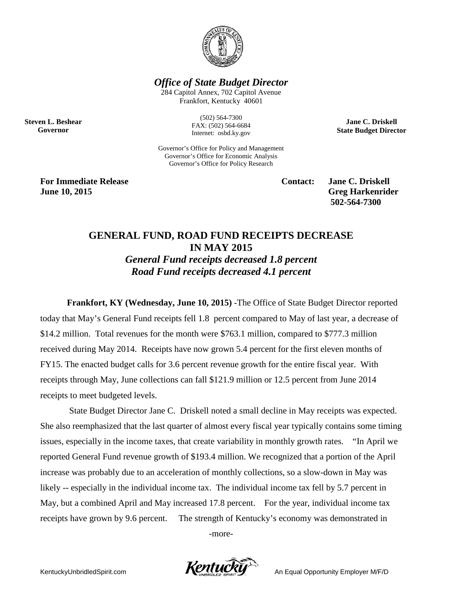

*Office of State Budget Director*

284 Capitol Annex, 702 Capitol Avenue Frankfort, Kentucky 40601

**Steven L. Beshear Governor**

(502) 564-7300 FAX: (502) 564-6684 Internet: osbd.ky.gov

Governor's Office for Policy and Management Governor's Office for Economic Analysis Governor's Office for Policy Research

**For Immediate Release Contact: Jane C. Driskell June 10, 2015 Greg Harkenrider Greg Harkenrider** 

**502-564-7300** 

**Jane C. Driskell State Budget Director**

## **GENERAL FUND, ROAD FUND RECEIPTS DECREASE IN MAY 2015**

*General Fund receipts decreased 1.8 percent Road Fund receipts decreased 4.1 percent*

**Frankfort, KY (Wednesday, June 10, 2015)** -The Office of State Budget Director reported today that May's General Fund receipts fell 1.8 percent compared to May of last year, a decrease of \$14.2 million. Total revenues for the month were \$763.1 million, compared to \$777.3 million received during May 2014. Receipts have now grown 5.4 percent for the first eleven months of FY15. The enacted budget calls for 3.6 percent revenue growth for the entire fiscal year. With receipts through May, June collections can fall \$121.9 million or 12.5 percent from June 2014 receipts to meet budgeted levels.

State Budget Director Jane C. Driskell noted a small decline in May receipts was expected. She also reemphasized that the last quarter of almost every fiscal year typically contains some timing issues, especially in the income taxes, that create variability in monthly growth rates. "In April we reported General Fund revenue growth of \$193.4 million. We recognized that a portion of the April increase was probably due to an acceleration of monthly collections, so a slow-down in May was likely -- especially in the individual income tax. The individual income tax fell by 5.7 percent in May, but a combined April and May increased 17.8 percent. For the year, individual income tax receipts have grown by 9.6 percent. The strength of Kentucky's economy was demonstrated in

-more-

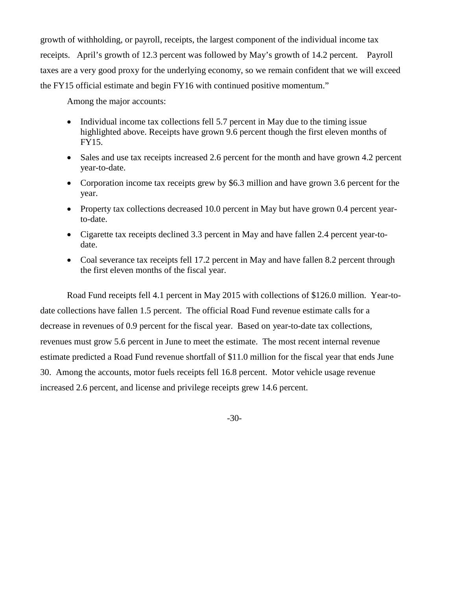growth of withholding, or payroll, receipts, the largest component of the individual income tax receipts. April's growth of 12.3 percent was followed by May's growth of 14.2 percent. Payroll taxes are a very good proxy for the underlying economy, so we remain confident that we will exceed the FY15 official estimate and begin FY16 with continued positive momentum."

Among the major accounts:

- Individual income tax collections fell 5.7 percent in May due to the timing issue highlighted above. Receipts have grown 9.6 percent though the first eleven months of FY15.
- Sales and use tax receipts increased 2.6 percent for the month and have grown 4.2 percent year-to-date.
- Corporation income tax receipts grew by \$6.3 million and have grown 3.6 percent for the year.
- Property tax collections decreased 10.0 percent in May but have grown 0.4 percent yearto-date.
- Cigarette tax receipts declined 3.3 percent in May and have fallen 2.4 percent year-todate.
- Coal severance tax receipts fell 17.2 percent in May and have fallen 8.2 percent through the first eleven months of the fiscal year.

Road Fund receipts fell 4.1 percent in May 2015 with collections of \$126.0 million. Year-todate collections have fallen 1.5 percent. The official Road Fund revenue estimate calls for a decrease in revenues of 0.9 percent for the fiscal year. Based on year-to-date tax collections, revenues must grow 5.6 percent in June to meet the estimate. The most recent internal revenue estimate predicted a Road Fund revenue shortfall of \$11.0 million for the fiscal year that ends June 30. Among the accounts, motor fuels receipts fell 16.8 percent. Motor vehicle usage revenue increased 2.6 percent, and license and privilege receipts grew 14.6 percent.

-30-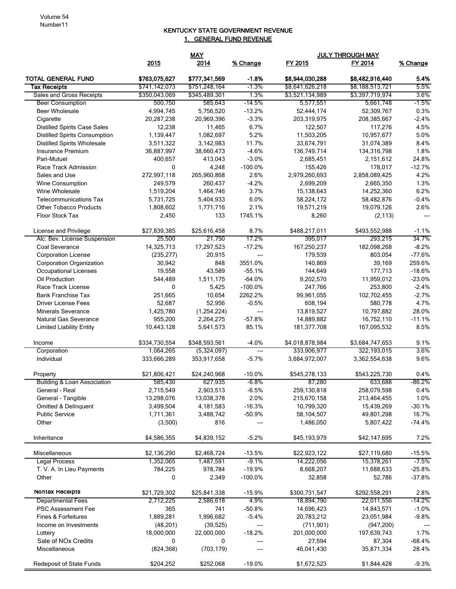## KENTUCKY STATE GOVERNMENT REVENUE 1. GENERAL FUND REVENUE

|                                        |               | <b>MAY</b>    |                 | <b>JULY THROUGH MAY</b> |                 |          |
|----------------------------------------|---------------|---------------|-----------------|-------------------------|-----------------|----------|
|                                        | 2015          | 2014          | % Change        | FY 2015                 | FY 2014         | % Change |
| <b>TOTAL GENERAL FUND</b>              | \$763,075,627 | \$777,341,569 | $-1.8%$         | \$8,944,030,288         | \$8,482,916,440 | 5.4%     |
| <b>Tax Receipts</b>                    | \$741,142,073 | \$751,248,164 | $-1.3%$         | \$8,641,626,218         | \$8,188,513,721 | 5.5%     |
| Sales and Gross Receipts               | \$350,043,069 | \$345,489,301 | 1.3%            | \$3,521,134,989         | \$3,397,719,974 | 3.6%     |
| <b>Beer Consumption</b>                | 500,750       | 585,643       | $-14.5%$        | 5,577,551               | 5,661,748       | $-1.5%$  |
| <b>Beer Wholesale</b>                  | 4,994,745     | 5,756,520     | $-13.2%$        | 52,444,174              | 52,309,767      | 0.3%     |
| Cigarette                              | 20,287,238    | 20,969,396    | $-3.3%$         | 203,319,975             | 208,385,667     | $-2.4%$  |
| <b>Distilled Spirits Case Sales</b>    | 12,238        | 11,465        | 6.7%            | 122,507                 | 117,276         | 4.5%     |
| <b>Distilled Spirits Consumption</b>   | 1,139,447     | 1,082,697     | 5.2%            | 11,503,205              | 10,957,677      | 5.0%     |
| <b>Distilled Spirits Wholesale</b>     | 3,511,322     | 3,142,983     | 11.7%           | 33,674,791              | 31,074,389      | 8.4%     |
| Insurance Premium                      | 36,887,997    | 38,660,473    | $-4.6%$         | 136,749,714             | 134,316,798     | 1.8%     |
| Pari-Mutuel                            | 400,657       | 413.043       | $-3.0%$         | 2,685,451               | 2,151,612       | 24.8%    |
| Race Track Admission                   | 0             | 4,248         | $-100.0%$       | 155,426                 | 178,017         | $-12.7%$ |
| Sales and Use                          | 272,997,118   | 265,960,868   | 2.6%            | 2,979,260,693           | 2,858,089,425   | 4.2%     |
| <b>Wine Consumption</b>                | 249,579       | 260,437       | $-4.2%$         | 2,699,209               | 2,665,350       | 1.3%     |
| Wine Wholesale                         | 1,519,204     | 1,464,746     | 3.7%            | 15,138,643              | 14,252,360      | 6.2%     |
| <b>Telecommunications Tax</b>          | 5,731,725     | 5,404,933     | 6.0%            | 58,224,172              | 58,482,876      | $-0.4%$  |
| <b>Other Tobacco Products</b>          | 1,808,602     | 1,771,716     | 2.1%<br>1745.1% | 19,571,219              | 19,079,126      | 2.6%     |
| Floor Stock Tax                        | 2,450         | 133           |                 | 8,260                   | (2, 113)        | $---$    |
| License and Privilege                  | \$27,839,385  | \$25,616,458  | 8.7%            | \$488,217,011           | \$493,552,988   | $-1.1%$  |
| Alc. Bev. License Suspension           | 25,500        | 21,750        | 17.2%           | 395,017                 | 293,215         | 34.7%    |
| Coal Severance                         | 14,325,713    | 17,297,523    | $-17.2%$        | 167,250,237             | 182,098,268     | $-8.2%$  |
| <b>Corporation License</b>             | (235, 277)    | 20,915        | ---             | 179,539                 | 803,054         | $-77.6%$ |
| Corporation Organization               | 30,942        | 848           | 3551.0%         | 140,869                 | 39,169          | 259.6%   |
| <b>Occupational Licenses</b>           | 19,558        | 43,589        | $-55.1%$        | 144,649                 | 177,713         | $-18.6%$ |
| Oil Production                         | 544,489       | 1,511,175     | $-64.0%$        | 9,202,570               | 11,959,012      | $-23.0%$ |
| Race Track License                     | 0             | 5,425         | $-100.0%$       | 247,766                 | 253,800         | $-2.4%$  |
| <b>Bank Franchise Tax</b>              | 251,665       | 10,654        | 2262.2%         | 99,961,055              | 102,702,455     | $-2.7%$  |
| <b>Driver License Fees</b>             | 52,687        | 52,956        | $-0.5%$         | 608,194                 | 580,778         | 4.7%     |
| <b>Minerals Severance</b>              | 1,425,780     | (1,254,224)   | ---             | 13,819,527              | 10,797,882      | 28.0%    |
| Natural Gas Severance                  | 955,200       | 2,264,275     | $-57.8%$        | 14,889,882              | 16,752,110      | $-11.1%$ |
| <b>Limited Liability Entity</b>        | 10,443,128    | 5,641,573     | 85.1%           | 181,377,708             | 167,095,532     | 8.5%     |
| Income                                 | \$334,730,554 | \$348,593,561 | $-4.0%$         | \$4,018,878,984         | \$3,684,747,653 | 9.1%     |
| Corporation                            | 1,064,265     | (5,324,097)   | ---             | 333,906,977             | 322,193,015     | 3.6%     |
| Individual                             | 333,666,289   | 353,917,658   | $-5.7%$         | 3,684,972,007           | 3,362,554,638   | 9.6%     |
| Property                               | \$21,806,421  | \$24,240,968  | $-10.0%$        | \$545,278,133           | \$543,225,730   | 0.4%     |
| <b>Building &amp; Loan Association</b> | 585,430       | 627,935       | $-6.8%$         | 87,280                  | 633,688         | $-86.2%$ |
| General - Real                         | 2,715,549     | 2,903,513     | $-6.5%$         | 259,130,818             | 258,079,598     | 0.4%     |
| General - Tangible                     | 13,298,076    | 13,038,378    | 2.0%            | 215,670,158             | 213,464,455     | 1.0%     |
| Omitted & Delinquent                   | 3,499,504     | 4,181,583     | $-16.3%$        | 10,799,320              | 15,439,269      | $-30.1%$ |
| <b>Public Service</b>                  | 1,711,361     | 3,488,742     | $-50.9%$        | 58,104,507              | 49,801,298      | 16.7%    |
| Other                                  | (3,500)       | 816           | ---             | 1,486,050               | 5,807,422       | $-74.4%$ |
| Inheritance                            | \$4,586,355   | \$4,839,152   | $-5.2%$         | \$45,193,979            | \$42,147,695    | 7.2%     |
| Miscellaneous                          | \$2,136,290   | \$2,468,724   | $-13.5%$        | \$22,923,122            | \$27,119,680    | $-15.5%$ |
| <b>Legal Process</b>                   | 1,352,065     | 1,487,591     | $-9.1%$         | 14,222,056              | 15,378,261      | $-7.5%$  |
| T. V. A. In Lieu Payments              | 784,225       | 978,784       | $-19.9%$        | 8,668,207               | 11,688,633      | $-25.8%$ |
| Other                                  | 0             | 2,349         | $-100.0%$       | 32,858                  | 52,786          | $-37.8%$ |
| Nontax Receipts                        | \$21,729,302  | \$25,841,338  | $-15.9%$        | \$300,731,547           | \$292,558,291   | 2.8%     |
| <b>Departmental Fees</b>               | 2,712,225     | 2,586,618     | 4.9%            | 18,894,790              | 22,011,556      | $-14.2%$ |
| PSC Assessment Fee                     | 365           | 741           | $-50.8%$        | 14,696,423              | 14,843,571      | $-1.0%$  |
| Fines & Forfeitures                    | 1,889,281     | 1,996,682     | $-5.4%$         | 20,783,212              | 23,051,984      | $-9.8%$  |
| Income on Investments                  | (48, 201)     | (39, 525)     | ---             | (711, 901)              | (947, 200)      |          |
| Lottery                                | 18,000,000    | 22,000,000    | $-18.2%$        | 201,000,000             | 197,639,743     | 1.7%     |
| Sale of NOx Credits                    | 0             | 0             | ---             | 27,594                  | 87,304          | $-68.4%$ |
| Miscellaneous                          | (824, 368)    | (703, 179)    | $\overline{a}$  | 46,041,430              | 35,871,334      | 28.4%    |
| <b>Redeposit of State Funds</b>        | \$204,252     | \$252,068     | $-19.0%$        | \$1,672,523             | \$1,844,428     | $-9.3%$  |